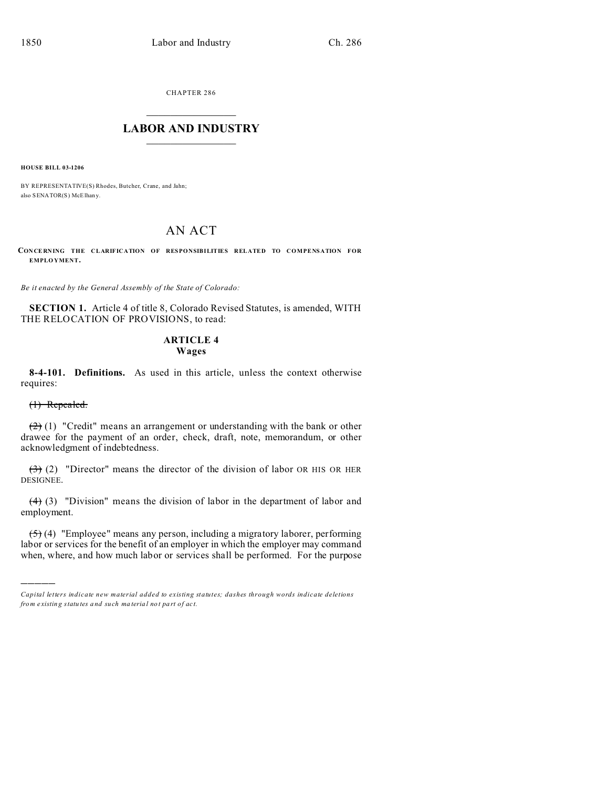CHAPTER 286  $\overline{\phantom{a}}$  , where  $\overline{\phantom{a}}$ 

### **LABOR AND INDUSTRY**  $\frac{1}{\sqrt{2}}$  ,  $\frac{1}{\sqrt{2}}$  ,  $\frac{1}{\sqrt{2}}$  ,  $\frac{1}{\sqrt{2}}$  ,  $\frac{1}{\sqrt{2}}$  ,  $\frac{1}{\sqrt{2}}$

**HOUSE BILL 03-1206**

BY REPRESENTATIVE(S) Rhodes, Butcher, Crane, and Jahn; also SENATOR(S) McElhany.

# AN ACT

**CON CE RNING THE CLARIFICATION OF RESPONSIBILITIES RELATED TO COMPENSATION FOR EMPLO YMENT.**

*Be it enacted by the General Assembly of the State of Colorado:*

**SECTION 1.** Article 4 of title 8, Colorado Revised Statutes, is amended, WITH THE RELOCATION OF PROVISIONS, to read:

## **ARTICLE 4 Wages**

**8-4-101. Definitions.** As used in this article, unless the context otherwise requires:

(1) Repealed.

)))))

 $(2)$  (1) "Credit" means an arrangement or understanding with the bank or other drawee for the payment of an order, check, draft, note, memorandum, or other acknowledgment of indebtedness.

 $\left(\frac{3}{2}\right)$  (2) "Director" means the director of the division of labor OR HIS OR HER DESIGNEE.

 $(4)$  (3) "Division" means the division of labor in the department of labor and employment.

(5) (4) "Employee" means any person, including a migratory laborer, performing labor or services for the benefit of an employer in which the employer may command when, where, and how much labor or services shall be performed. For the purpose

*Capital letters indicate new material added to existing statutes; dashes through words indicate deletions from e xistin g statu tes a nd such ma teria l no t pa rt of ac t.*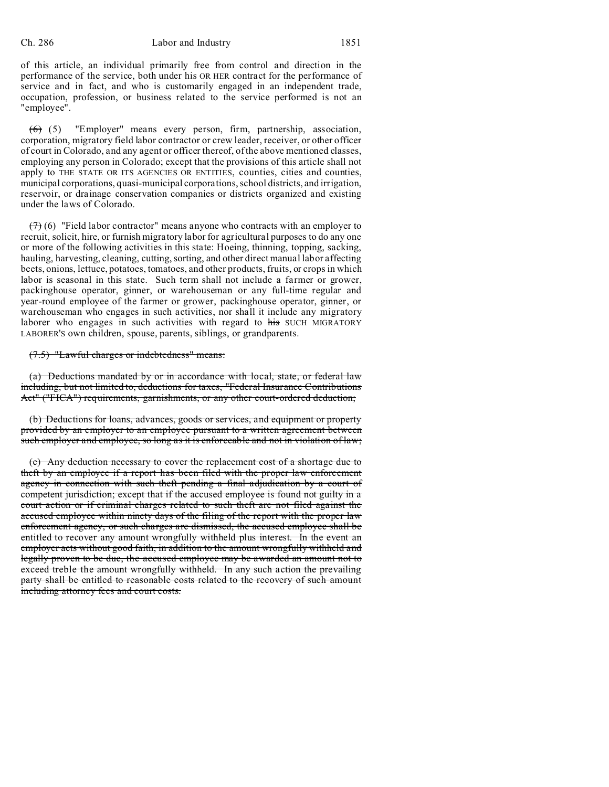#### Ch. 286 Labor and Industry 1851

of this article, an individual primarily free from control and direction in the performance of the service, both under his OR HER contract for the performance of service and in fact, and who is customarily engaged in an independent trade, occupation, profession, or business related to the service performed is not an "employee".

(6) (5) "Employer" means every person, firm, partnership, association, corporation, migratory field labor contractor or crew leader, receiver, or other officer of court in Colorado, and any agent or officer thereof, of the above mentioned classes, employing any person in Colorado; except that the provisions of this article shall not apply to THE STATE OR ITS AGENCIES OR ENTITIES, counties, cities and counties, municipal corporations, quasi-municipal corporations, school districts, and irrigation, reservoir, or drainage conservation companies or districts organized and existing under the laws of Colorado.

 $(7)$  (6) "Field labor contractor" means anyone who contracts with an employer to recruit, solicit, hire, or furnish migratory labor for agricultural purposes to do any one or more of the following activities in this state: Hoeing, thinning, topping, sacking, hauling, harvesting, cleaning, cutting, sorting, and other direct manual labor affecting beets, onions, lettuce, potatoes, tomatoes, and other products, fruits, or crops in which labor is seasonal in this state. Such term shall not include a farmer or grower, packinghouse operator, ginner, or warehouseman or any full-time regular and year-round employee of the farmer or grower, packinghouse operator, ginner, or warehouseman who engages in such activities, nor shall it include any migratory laborer who engages in such activities with regard to his SUCH MIGRATORY LABORER'S own children, spouse, parents, siblings, or grandparents.

#### (7.5) "Lawful charges or indebtedness" means:

(a) Deductions mandated by or in accordance with local, state, or federal law including, but not limited to, deductions for taxes, "Federal Insurance Contributions Act" ("FICA") requirements, garnishments, or any other court-ordered deduction;

(b) Deductions for loans, advances, goods or services, and equipment or property provided by an employer to an employee pursuant to a written agreement between such employer and employee, so long as it is enforceable and not in violation of law;

(c) Any deduction necessary to cover the replacement cost of a shortage due to theft by an employee if a report has been filed with the proper law enforcement agency in connection with such theft pending a final adjudication by a court of competent jurisdiction; except that if the accused employee is found not guilty in a court action or if criminal charges related to such theft are not filed against the accused employee within ninety days of the filing of the report with the proper law enforcement agency, or such charges are dismissed, the accused employee shall be entitled to recover any amount wrongfully withheld plus interest. In the event an employer acts without good faith, in addition to the amount wrongfully withheld and legally proven to be due, the accused employee may be awarded an amount not to exceed treble the amount wrongfully withheld. In any such action the prevailing party shall be entitled to reasonable costs related to the recovery of such amount including attorney fees and court costs.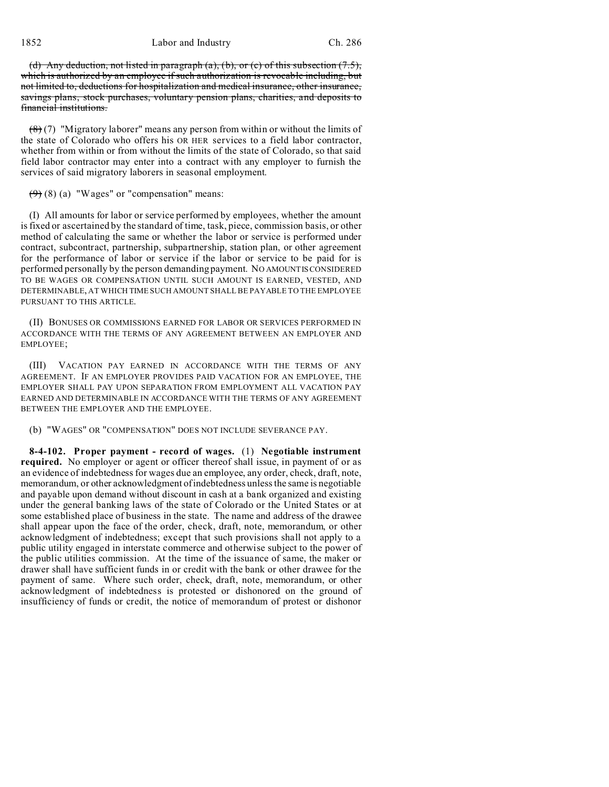(d) Any deduction, not listed in paragraph (a), (b), or (c) of this subsection  $(7.5)$ , which is authorized by an employee if such authorization is revocable including, but not limited to, deductions for hospitalization and medical insurance, other insurance, savings plans, stock purchases, voluntary pension plans, charities, and deposits to financial institutions.

 $(8)(7)$  "Migratory laborer" means any person from within or without the limits of the state of Colorado who offers his OR HER services to a field labor contractor, whether from within or from without the limits of the state of Colorado, so that said field labor contractor may enter into a contract with any employer to furnish the services of said migratory laborers in seasonal employment.

 $(9)$  (8) (a) "Wages" or "compensation" means:

(I) All amounts for labor or service performed by employees, whether the amount is fixed or ascertained by the standard of time, task, piece, commission basis, or other method of calculating the same or whether the labor or service is performed under contract, subcontract, partnership, subpartnership, station plan, or other agreement for the performance of labor or service if the labor or service to be paid for is performed personally by the person demanding payment. NO AMOUNTIS CONSIDERED TO BE WAGES OR COMPENSATION UNTIL SUCH AMOUNT IS EARNED, VESTED, AND DETERMINABLE, AT WHICH TIME SUCH AMOUNT SHALL BE PAYABLE TO THE EMPLOYEE PURSUANT TO THIS ARTICLE.

(II) BONUSES OR COMMISSIONS EARNED FOR LABOR OR SERVICES PERFORMED IN ACCORDANCE WITH THE TERMS OF ANY AGREEMENT BETWEEN AN EMPLOYER AND EMPLOYEE;

(III) VACATION PAY EARNED IN ACCORDANCE WITH THE TERMS OF ANY AGREEMENT. IF AN EMPLOYER PROVIDES PAID VACATION FOR AN EMPLOYEE, THE EMPLOYER SHALL PAY UPON SEPARATION FROM EMPLOYMENT ALL VACATION PAY EARNED AND DETERMINABLE IN ACCORDANCE WITH THE TERMS OF ANY AGREEMENT BETWEEN THE EMPLOYER AND THE EMPLOYEE.

(b) "WAGES" OR "COMPENSATION" DOES NOT INCLUDE SEVERANCE PAY.

**8-4-102. Proper payment - record of wages.** (1) **Negotiable instrument required.** No employer or agent or officer thereof shall issue, in payment of or as an evidence of indebtedness for wages due an employee, any order, check, draft, note, memorandum, or other acknowledgment of indebtedness unless the same is negotiable and payable upon demand without discount in cash at a bank organized and existing under the general banking laws of the state of Colorado or the United States or at some established place of business in the state. The name and address of the drawee shall appear upon the face of the order, check, draft, note, memorandum, or other acknowledgment of indebtedness; except that such provisions shall not apply to a public utility engaged in interstate commerce and otherwise subject to the power of the public utilities commission. At the time of the issuance of same, the maker or drawer shall have sufficient funds in or credit with the bank or other drawee for the payment of same. Where such order, check, draft, note, memorandum, or other acknowledgment of indebtedness is protested or dishonored on the ground of insufficiency of funds or credit, the notice of memorandum of protest or dishonor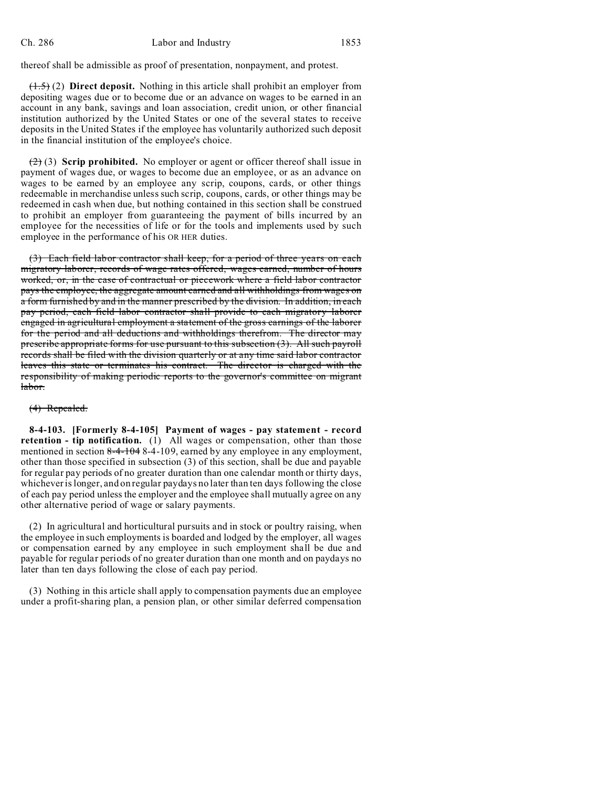thereof shall be admissible as proof of presentation, nonpayment, and protest.

(1.5) (2) **Direct deposit.** Nothing in this article shall prohibit an employer from depositing wages due or to become due or an advance on wages to be earned in an account in any bank, savings and loan association, credit union, or other financial institution authorized by the United States or one of the several states to receive deposits in the United States if the employee has voluntarily authorized such deposit in the financial institution of the employee's choice.

(2) (3) **Scrip prohibited.** No employer or agent or officer thereof shall issue in payment of wages due, or wages to become due an employee, or as an advance on wages to be earned by an employee any scrip, coupons, cards, or other things redeemable in merchandise unless such scrip, coupons, cards, or other things may be redeemed in cash when due, but nothing contained in this section shall be construed to prohibit an employer from guaranteeing the payment of bills incurred by an employee for the necessities of life or for the tools and implements used by such employee in the performance of his OR HER duties.

(3) Each field labor contractor shall keep, for a period of three years on each migratory laborer, records of wage rates offered, wages earned, number of hours worked, or, in the case of contractual or piecework where a field labor contractor pays the employee, the aggregate amount earned and all withholdings from wages on a form furnished by and in the manner prescribed by the division. In addition, in each pay period, each field labor contractor shall provide to each migratory laborer engaged in agricultural employment a statement of the gross earnings of the laborer for the period and all deductions and withholdings therefrom. The director may prescribe appropriate forms for use pursuant to this subsection (3). All such payroll records shall be filed with the division quarterly or at any time said labor contractor leaves this state or terminates his contract. The director is charged with the responsibility of making periodic reports to the governor's committee on migrant labor.

#### (4) Repealed.

**8-4-103. [Formerly 8-4-105] Payment of wages - pay statement - record retention - tip notification.** (1) All wages or compensation, other than those mentioned in section 8-4-104 8-4-109, earned by any employee in any employment, other than those specified in subsection (3) of this section, shall be due and payable for regular pay periods of no greater duration than one calendar month or thirty days, whichever is longer, and on regular paydays no later than ten days following the close of each pay period unless the employer and the employee shall mutually agree on any other alternative period of wage or salary payments.

(2) In agricultural and horticultural pursuits and in stock or poultry raising, when the employee in such employments is boarded and lodged by the employer, all wages or compensation earned by any employee in such employment shall be due and payable for regular periods of no greater duration than one month and on paydays no later than ten days following the close of each pay period.

(3) Nothing in this article shall apply to compensation payments due an employee under a profit-sharing plan, a pension plan, or other similar deferred compensation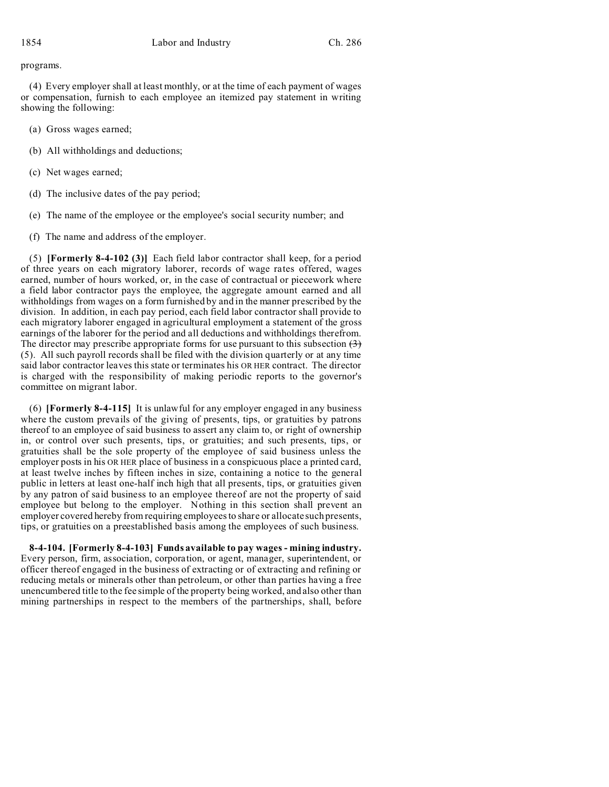programs.

(4) Every employer shall at least monthly, or at the time of each payment of wages or compensation, furnish to each employee an itemized pay statement in writing showing the following:

- (a) Gross wages earned;
- (b) All withholdings and deductions;
- (c) Net wages earned;
- (d) The inclusive dates of the pay period;
- (e) The name of the employee or the employee's social security number; and
- (f) The name and address of the employer.

(5) **[Formerly 8-4-102 (3)]** Each field labor contractor shall keep, for a period of three years on each migratory laborer, records of wage rates offered, wages earned, number of hours worked, or, in the case of contractual or piecework where a field labor contractor pays the employee, the aggregate amount earned and all withholdings from wages on a form furnished by and in the manner prescribed by the division. In addition, in each pay period, each field labor contractor shall provide to each migratory laborer engaged in agricultural employment a statement of the gross earnings of the laborer for the period and all deductions and withholdings therefrom. The director may prescribe appropriate forms for use pursuant to this subsection  $(3)$ (5). All such payroll records shall be filed with the division quarterly or at any time said labor contractor leaves this state or terminates his OR HER contract. The director is charged with the responsibility of making periodic reports to the governor's committee on migrant labor.

(6) **[Formerly 8-4-115]** It is unlawful for any employer engaged in any business where the custom prevails of the giving of presents, tips, or gratuities by patrons thereof to an employee of said business to assert any claim to, or right of ownership in, or control over such presents, tips, or gratuities; and such presents, tips, or gratuities shall be the sole property of the employee of said business unless the employer posts in his OR HER place of business in a conspicuous place a printed card, at least twelve inches by fifteen inches in size, containing a notice to the general public in letters at least one-half inch high that all presents, tips, or gratuities given by any patron of said business to an employee thereof are not the property of said employee but belong to the employer. Nothing in this section shall prevent an employer covered hereby from requiring employees to share or allocate such presents, tips, or gratuities on a preestablished basis among the employees of such business.

**8-4-104. [Formerly 8-4-103] Funds available to pay wages - mining industry.** Every person, firm, association, corporation, or agent, manager, superintendent, or officer thereof engaged in the business of extracting or of extracting and refining or reducing metals or minerals other than petroleum, or other than parties having a free unencumbered title to the fee simple of the property being worked, and also other than mining partnerships in respect to the members of the partnerships, shall, before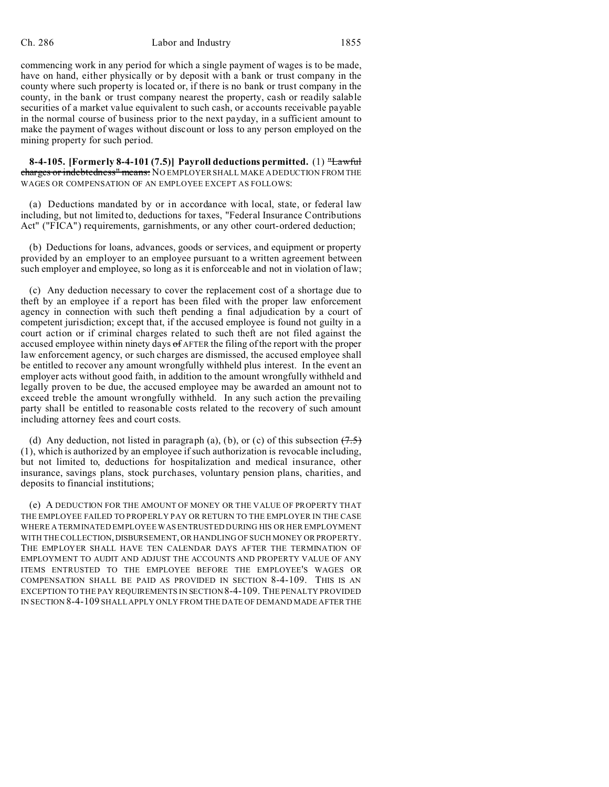#### Ch. 286 Labor and Industry 1855

commencing work in any period for which a single payment of wages is to be made, have on hand, either physically or by deposit with a bank or trust company in the county where such property is located or, if there is no bank or trust company in the county, in the bank or trust company nearest the property, cash or readily salable securities of a market value equivalent to such cash, or accounts receivable payable in the normal course of business prior to the next payday, in a sufficient amount to make the payment of wages without discount or loss to any person employed on the mining property for such period.

**8-4-105. [Formerly 8-4-101 (7.5)] Payroll deductions permitted.** (1) "Lawful charges or indebtedness" means: NO EMPLOYER SHALL MAKE A DEDUCTION FROM THE WAGES OR COMPENSATION OF AN EMPLOYEE EXCEPT AS FOLLOWS:

(a) Deductions mandated by or in accordance with local, state, or federal law including, but not limited to, deductions for taxes, "Federal Insurance Contributions Act" ("FICA") requirements, garnishments, or any other court-ordered deduction;

(b) Deductions for loans, advances, goods or services, and equipment or property provided by an employer to an employee pursuant to a written agreement between such employer and employee, so long as it is enforceable and not in violation of law;

(c) Any deduction necessary to cover the replacement cost of a shortage due to theft by an employee if a report has been filed with the proper law enforcement agency in connection with such theft pending a final adjudication by a court of competent jurisdiction; except that, if the accused employee is found not guilty in a court action or if criminal charges related to such theft are not filed against the accused employee within ninety days  $\sigma$ f AFTER the filing of the report with the proper law enforcement agency, or such charges are dismissed, the accused employee shall be entitled to recover any amount wrongfully withheld plus interest. In the event an employer acts without good faith, in addition to the amount wrongfully withheld and legally proven to be due, the accused employee may be awarded an amount not to exceed treble the amount wrongfully withheld. In any such action the prevailing party shall be entitled to reasonable costs related to the recovery of such amount including attorney fees and court costs.

(d) Any deduction, not listed in paragraph (a), (b), or (c) of this subsection  $(7.5)$ (1), which is authorized by an employee if such authorization is revocable including, but not limited to, deductions for hospitalization and medical insurance, other insurance, savings plans, stock purchases, voluntary pension plans, charities, and deposits to financial institutions;

(e) A DEDUCTION FOR THE AMOUNT OF MONEY OR THE VALUE OF PROPERTY THAT THE EMPLOYEE FAILED TO PROPERLY PAY OR RETURN TO THE EMPLOYER IN THE CASE WHERE A TERMINATED EMPLOYEE WAS ENTRUSTED DURING HIS OR HER EMPLOYMENT WITH THE COLLECTION,DISBURSEMENT, OR HANDLING OF SUCH MONEY OR PROPERTY. THE EMPLOYER SHALL HAVE TEN CALENDAR DAYS AFTER THE TERMINATION OF EMPLOYMENT TO AUDIT AND ADJUST THE ACCOUNTS AND PROPERTY VALUE OF ANY ITEMS ENTRUSTED TO THE EMPLOYEE BEFORE THE EMPLOYEE'S WAGES OR COMPENSATION SHALL BE PAID AS PROVIDED IN SECTION 8-4-109. THIS IS AN EXCEPTION TO THE PAY REQUIREMENTS IN SECTION 8-4-109. THE PENALTY PROVIDED IN SECTION 8-4-109 SHALL APPLY ONLY FROM THE DATE OF DEMAND MADE AFTER THE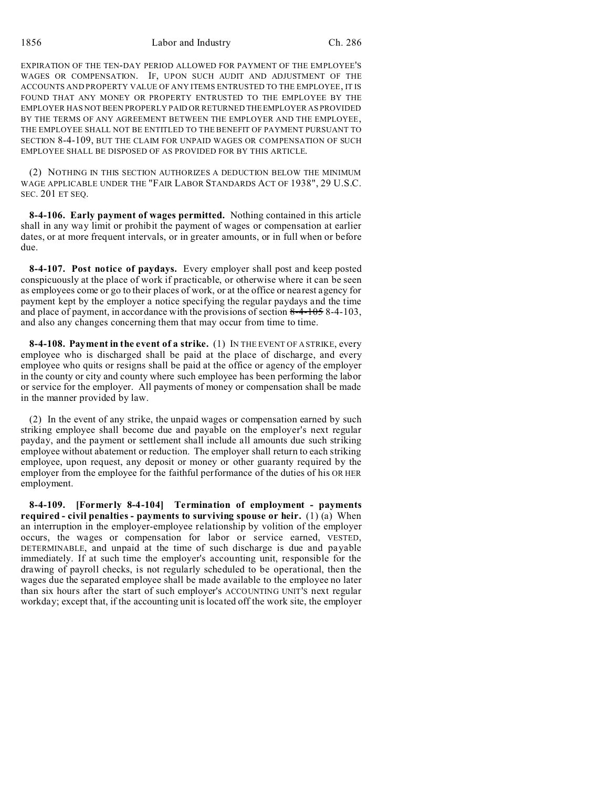EXPIRATION OF THE TEN-DAY PERIOD ALLOWED FOR PAYMENT OF THE EMPLOYEE'S WAGES OR COMPENSATION. IF, UPON SUCH AUDIT AND ADJUSTMENT OF THE ACCOUNTS AND PROPERTY VALUE OF ANY ITEMS ENTRUSTED TO THE EMPLOYEE, IT IS FOUND THAT ANY MONEY OR PROPERTY ENTRUSTED TO THE EMPLOYEE BY THE EMPLOYER HAS NOT BEEN PROPERLY PAID OR RETURNED THEEMPLOYER AS PROVIDED BY THE TERMS OF ANY AGREEMENT BETWEEN THE EMPLOYER AND THE EMPLOYEE, THE EMPLOYEE SHALL NOT BE ENTITLED TO THE BENEFIT OF PAYMENT PURSUANT TO SECTION 8-4-109, BUT THE CLAIM FOR UNPAID WAGES OR COMPENSATION OF SUCH EMPLOYEE SHALL BE DISPOSED OF AS PROVIDED FOR BY THIS ARTICLE.

(2) NOTHING IN THIS SECTION AUTHORIZES A DEDUCTION BELOW THE MINIMUM WAGE APPLICABLE UNDER THE "FAIR LABOR STANDARDS ACT OF 1938", 29 U.S.C. SEC. 201 ET SEQ.

**8-4-106. Early payment of wages permitted.** Nothing contained in this article shall in any way limit or prohibit the payment of wages or compensation at earlier dates, or at more frequent intervals, or in greater amounts, or in full when or before due.

**8-4-107. Post notice of paydays.** Every employer shall post and keep posted conspicuously at the place of work if practicable, or otherwise where it can be seen as employees come or go to their places of work, or at the office or nearest agency for payment kept by the employer a notice specifying the regular paydays and the time and place of payment, in accordance with the provisions of section  $8-4-1058-4-103$ , and also any changes concerning them that may occur from time to time.

**8-4-108. Payment in the event of a strike.** (1) IN THE EVENT OF A STRIKE, every employee who is discharged shall be paid at the place of discharge, and every employee who quits or resigns shall be paid at the office or agency of the employer in the county or city and county where such employee has been performing the labor or service for the employer. All payments of money or compensation shall be made in the manner provided by law.

(2) In the event of any strike, the unpaid wages or compensation earned by such striking employee shall become due and payable on the employer's next regular payday, and the payment or settlement shall include all amounts due such striking employee without abatement or reduction. The employer shall return to each striking employee, upon request, any deposit or money or other guaranty required by the employer from the employee for the faithful performance of the duties of his OR HER employment.

**8-4-109. [Formerly 8-4-104] Termination of employment - payments required - civil penalties - payments to surviving spouse or heir.** (1) (a) When an interruption in the employer-employee relationship by volition of the employer occurs, the wages or compensation for labor or service earned, VESTED, DETERMINABLE, and unpaid at the time of such discharge is due and payable immediately. If at such time the employer's accounting unit, responsible for the drawing of payroll checks, is not regularly scheduled to be operational, then the wages due the separated employee shall be made available to the employee no later than six hours after the start of such employer's ACCOUNTING UNIT'S next regular workday; except that, if the accounting unit is located off the work site, the employer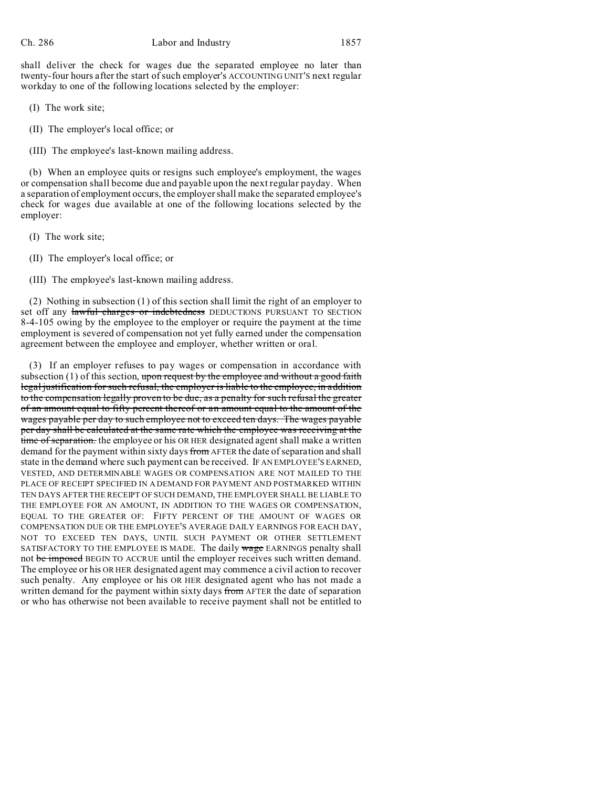shall deliver the check for wages due the separated employee no later than twenty-four hours after the start of such employer's ACCOUNTING UNIT'S next regular workday to one of the following locations selected by the employer:

(I) The work site;

- (II) The employer's local office; or
- (III) The employee's last-known mailing address.

(b) When an employee quits or resigns such employee's employment, the wages or compensation shall become due and payable upon the next regular payday. When a separation of employment occurs, the employer shall make the separated employee's check for wages due available at one of the following locations selected by the employer:

- (I) The work site;
- (II) The employer's local office; or
- (III) The employee's last-known mailing address.

(2) Nothing in subsection (1) of this section shall limit the right of an employer to set off any lawful charges or indebtedness DEDUCTIONS PURSUANT TO SECTION 8-4-105 owing by the employee to the employer or require the payment at the time employment is severed of compensation not yet fully earned under the compensation agreement between the employee and employer, whether written or oral.

(3) If an employer refuses to pay wages or compensation in accordance with subsection  $(1)$  of this section, upon request by the employee and without a good faith legal justification for such refusal, the employer is liable to the employee, in addition to the compensation legally proven to be due, as a penalty for such refusal the greater of an amount equal to fifty percent thereof or an amount equal to the amount of the wages payable per day to such employee not to exceed ten days. The wages payable per day shall be calculated at the same rate which the employee was receiving at the time of separation. the employee or his OR HER designated agent shall make a written demand for the payment within sixty days from AFTER the date of separation and shall state in the demand where such payment can be received. IF AN EMPLOYEE'S EARNED, VESTED, AND DETERMINABLE WAGES OR COMPENSATION ARE NOT MAILED TO THE PLACE OF RECEIPT SPECIFIED IN A DEMAND FOR PAYMENT AND POSTMARKED WITHIN TEN DAYS AFTER THE RECEIPT OF SUCH DEMAND, THE EMPLOYER SHALL BE LIABLE TO THE EMPLOYEE FOR AN AMOUNT, IN ADDITION TO THE WAGES OR COMPENSATION, EQUAL TO THE GREATER OF: FIFTY PERCENT OF THE AMOUNT OF WAGES OR COMPENSATION DUE OR THE EMPLOYEE'S AVERAGE DAILY EARNINGS FOR EACH DAY, NOT TO EXCEED TEN DAYS, UNTIL SUCH PAYMENT OR OTHER SETTLEMENT SATISFACTORY TO THE EMPLOYEE IS MADE. The daily wage EARNINGS penalty shall not be imposed BEGIN TO ACCRUE until the employer receives such written demand. The employee or his OR HER designated agent may commence a civil action to recover such penalty. Any employee or his OR HER designated agent who has not made a written demand for the payment within sixty days from AFTER the date of separation or who has otherwise not been available to receive payment shall not be entitled to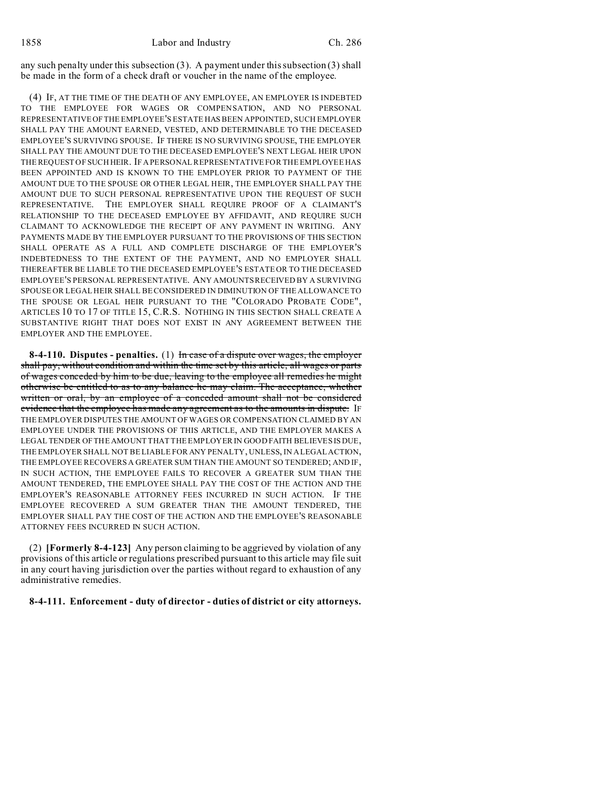any such penalty under this subsection (3). A payment under this subsection (3) shall be made in the form of a check draft or voucher in the name of the employee.

(4) IF, AT THE TIME OF THE DEATH OF ANY EMPLOYEE, AN EMPLOYER IS INDEBTED TO THE EMPLOYEE FOR WAGES OR COMPENSATION, AND NO PERSONAL REPRESENTATIVEOF THE EMPLOYEE'S ESTATE HAS BEEN APPOINTED, SUCH EMPLOYER SHALL PAY THE AMOUNT EARNED, VESTED, AND DETERMINABLE TO THE DECEASED EMPLOYEE'S SURVIVING SPOUSE. IF THERE IS NO SURVIVING SPOUSE, THE EMPLOYER SHALL PAY THE AMOUNT DUE TO THE DECEASED EMPLOYEE'S NEXT LEGAL HEIR UPON THE REQUEST OF SUCH HEIR. IF A PERSONAL REPRESENTATIVE FOR THE EMPLOYEE HAS BEEN APPOINTED AND IS KNOWN TO THE EMPLOYER PRIOR TO PAYMENT OF THE AMOUNT DUE TO THE SPOUSE OR OTHER LEGAL HEIR, THE EMPLOYER SHALL PAY THE AMOUNT DUE TO SUCH PERSONAL REPRESENTATIVE UPON THE REQUEST OF SUCH REPRESENTATIVE. THE EMPLOYER SHALL REQUIRE PROOF OF A CLAIMANT'S RELATIONSHIP TO THE DECEASED EMPLOYEE BY AFFIDAVIT, AND REQUIRE SUCH CLAIMANT TO ACKNOWLEDGE THE RECEIPT OF ANY PAYMENT IN WRITING. ANY PAYMENTS MADE BY THE EMPLOYER PURSUANT TO THE PROVISIONS OF THIS SECTION SHALL OPERATE AS A FULL AND COMPLETE DISCHARGE OF THE EMPLOYER'S INDEBTEDNESS TO THE EXTENT OF THE PAYMENT, AND NO EMPLOYER SHALL THEREAFTER BE LIABLE TO THE DECEASED EMPLOYEE'S ESTATE OR TO THE DECEASED EMPLOYEE'S PERSONAL REPRESENTATIVE. ANY AMOUNTS RECEIVED BY A SURVIVING SPOUSE OR LEGAL HEIR SHALL BE CONSIDERED IN DIMINUTION OF THE ALLOWANCE TO THE SPOUSE OR LEGAL HEIR PURSUANT TO THE "COLORADO PROBATE CODE", ARTICLES 10 TO 17 OF TITLE 15, C.R.S. NOTHING IN THIS SECTION SHALL CREATE A SUBSTANTIVE RIGHT THAT DOES NOT EXIST IN ANY AGREEMENT BETWEEN THE EMPLOYER AND THE EMPLOYEE.

**8-4-110. Disputes - penalties.** (1) In case of a dispute over wages, the employer shall pay, without condition and within the time set by this article, all wages or parts of wages conceded by him to be due, leaving to the employee all remedies he might otherwise be entitled to as to any balance he may claim. The acceptance, whether written or oral, by an employee of a conceded amount shall not be considered evidence that the employee has made any agreement as to the amounts in dispute. If THE EMPLOYER DISPUTES THE AMOUNT OF WAGES OR COMPENSATION CLAIMED BY AN EMPLOYEE UNDER THE PROVISIONS OF THIS ARTICLE, AND THE EMPLOYER MAKES A LEGAL TENDER OF THE AMOUNT THAT THE EMPLOYER IN GOOD FAITH BELIEVES IS DUE, THE EMPLOYER SHALL NOT BE LIABLE FOR ANY PENALTY, UNLESS, IN A LEGAL ACTION, THE EMPLOYEE RECOVERS A GREATER SUM THAN THE AMOUNT SO TENDERED; AND IF, IN SUCH ACTION, THE EMPLOYEE FAILS TO RECOVER A GREATER SUM THAN THE AMOUNT TENDERED, THE EMPLOYEE SHALL PAY THE COST OF THE ACTION AND THE EMPLOYER'S REASONABLE ATTORNEY FEES INCURRED IN SUCH ACTION. IF THE EMPLOYEE RECOVERED A SUM GREATER THAN THE AMOUNT TENDERED, THE EMPLOYER SHALL PAY THE COST OF THE ACTION AND THE EMPLOYEE'S REASONABLE ATTORNEY FEES INCURRED IN SUCH ACTION.

(2) **[Formerly 8-4-123]** Any person claiming to be aggrieved by violation of any provisions of this article or regulations prescribed pursuant to this article may file suit in any court having jurisdiction over the parties without regard to exhaustion of any administrative remedies.

**8-4-111. Enforcement - duty of director - duties of district or city attorneys.**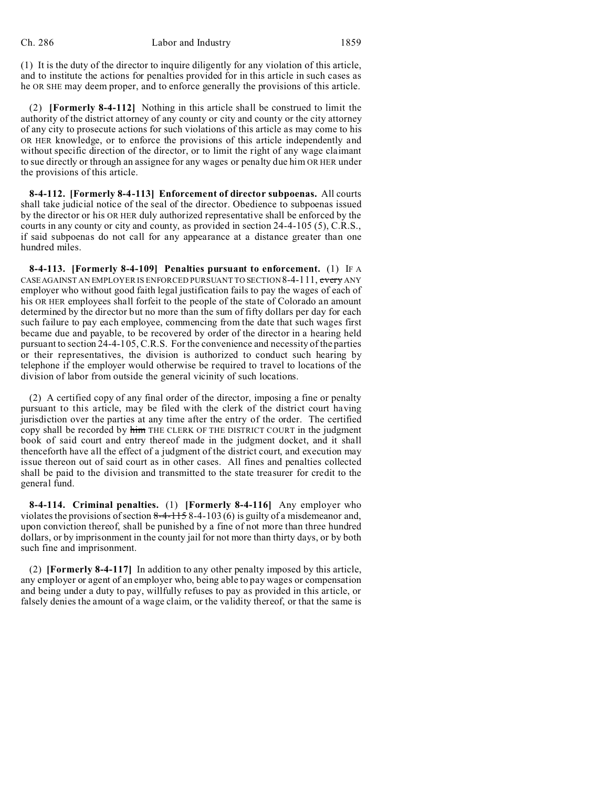(1) It is the duty of the director to inquire diligently for any violation of this article, and to institute the actions for penalties provided for in this article in such cases as he OR SHE may deem proper, and to enforce generally the provisions of this article.

(2) **[Formerly 8-4-112]** Nothing in this article shall be construed to limit the authority of the district attorney of any county or city and county or the city attorney of any city to prosecute actions for such violations of this article as may come to his OR HER knowledge, or to enforce the provisions of this article independently and without specific direction of the director, or to limit the right of any wage claimant to sue directly or through an assignee for any wages or penalty due him OR HER under the provisions of this article.

**8-4-112. [Formerly 8-4-113] Enforcement of director subpoenas.** All courts shall take judicial notice of the seal of the director. Obedience to subpoenas issued by the director or his OR HER duly authorized representative shall be enforced by the courts in any county or city and county, as provided in section 24-4-105 (5), C.R.S., if said subpoenas do not call for any appearance at a distance greater than one hundred miles.

**8-4-113. [Formerly 8-4-109] Penalties pursuant to enforcement.** (1) IF A CASE AGAINST AN EMPLOYER IS ENFORCED PURSUANT TO SECTION 8-4-111, every ANY employer who without good faith legal justification fails to pay the wages of each of his OR HER employees shall forfeit to the people of the state of Colorado an amount determined by the director but no more than the sum of fifty dollars per day for each such failure to pay each employee, commencing from the date that such wages first became due and payable, to be recovered by order of the director in a hearing held pursuant to section 24-4-105, C.R.S. For the convenience and necessity of the parties or their representatives, the division is authorized to conduct such hearing by telephone if the employer would otherwise be required to travel to locations of the division of labor from outside the general vicinity of such locations.

(2) A certified copy of any final order of the director, imposing a fine or penalty pursuant to this article, may be filed with the clerk of the district court having jurisdiction over the parties at any time after the entry of the order. The certified copy shall be recorded by him THE CLERK OF THE DISTRICT COURT in the judgment book of said court and entry thereof made in the judgment docket, and it shall thenceforth have all the effect of a judgment of the district court, and execution may issue thereon out of said court as in other cases. All fines and penalties collected shall be paid to the division and transmitted to the state treasurer for credit to the general fund.

**8-4-114. Criminal penalties.** (1) **[Formerly 8-4-116]** Any employer who violates the provisions of section  $8-4-1158-4-103(6)$  is guilty of a misdemeanor and, upon conviction thereof, shall be punished by a fine of not more than three hundred dollars, or by imprisonment in the county jail for not more than thirty days, or by both such fine and imprisonment.

(2) **[Formerly 8-4-117]** In addition to any other penalty imposed by this article, any employer or agent of an employer who, being able to pay wages or compensation and being under a duty to pay, willfully refuses to pay as provided in this article, or falsely denies the amount of a wage claim, or the validity thereof, or that the same is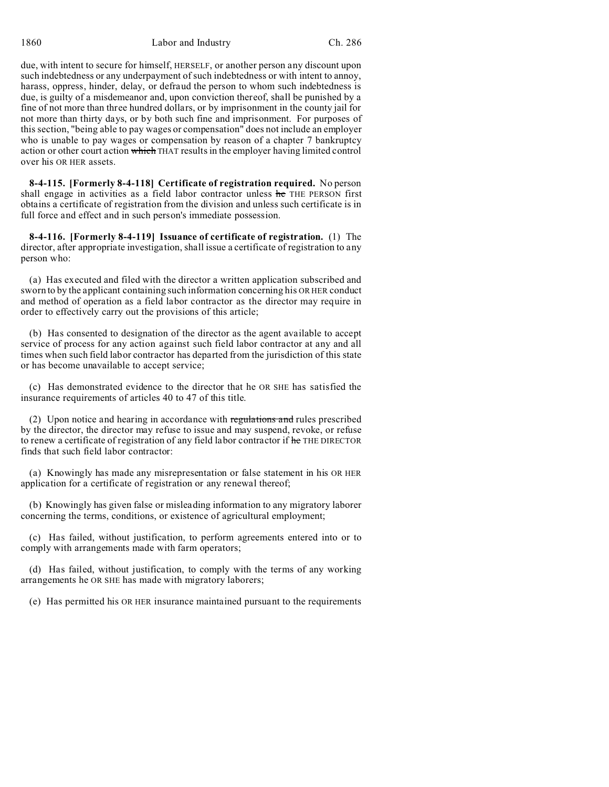due, with intent to secure for himself, HERSELF, or another person any discount upon such indebtedness or any underpayment of such indebtedness or with intent to annoy, harass, oppress, hinder, delay, or defraud the person to whom such indebtedness is due, is guilty of a misdemeanor and, upon conviction thereof, shall be punished by a fine of not more than three hundred dollars, or by imprisonment in the county jail for not more than thirty days, or by both such fine and imprisonment. For purposes of this section, "being able to pay wages or compensation" does not include an employer who is unable to pay wages or compensation by reason of a chapter 7 bankruptcy action or other court action which THAT results in the employer having limited control over his OR HER assets.

**8-4-115. [Formerly 8-4-118] Certificate of registration required.** No person shall engage in activities as a field labor contractor unless he THE PERSON first obtains a certificate of registration from the division and unless such certificate is in full force and effect and in such person's immediate possession.

**8-4-116. [Formerly 8-4-119] Issuance of certificate of registration.** (1) The director, after appropriate investigation, shall issue a certificate of registration to any person who:

(a) Has executed and filed with the director a written application subscribed and sworn to by the applicant containing such information concerning his OR HER conduct and method of operation as a field labor contractor as the director may require in order to effectively carry out the provisions of this article;

(b) Has consented to designation of the director as the agent available to accept service of process for any action against such field labor contractor at any and all times when such field labor contractor has departed from the jurisdiction of this state or has become unavailable to accept service;

(c) Has demonstrated evidence to the director that he OR SHE has satisfied the insurance requirements of articles 40 to 47 of this title.

(2) Upon notice and hearing in accordance with regulations and rules prescribed by the director, the director may refuse to issue and may suspend, revoke, or refuse to renew a certificate of registration of any field labor contractor if he THE DIRECTOR finds that such field labor contractor:

(a) Knowingly has made any misrepresentation or false statement in his OR HER application for a certificate of registration or any renewal thereof;

(b) Knowingly has given false or misleading information to any migratory laborer concerning the terms, conditions, or existence of agricultural employment;

(c) Has failed, without justification, to perform agreements entered into or to comply with arrangements made with farm operators;

(d) Has failed, without justification, to comply with the terms of any working arrangements he OR SHE has made with migratory laborers;

(e) Has permitted his OR HER insurance maintained pursuant to the requirements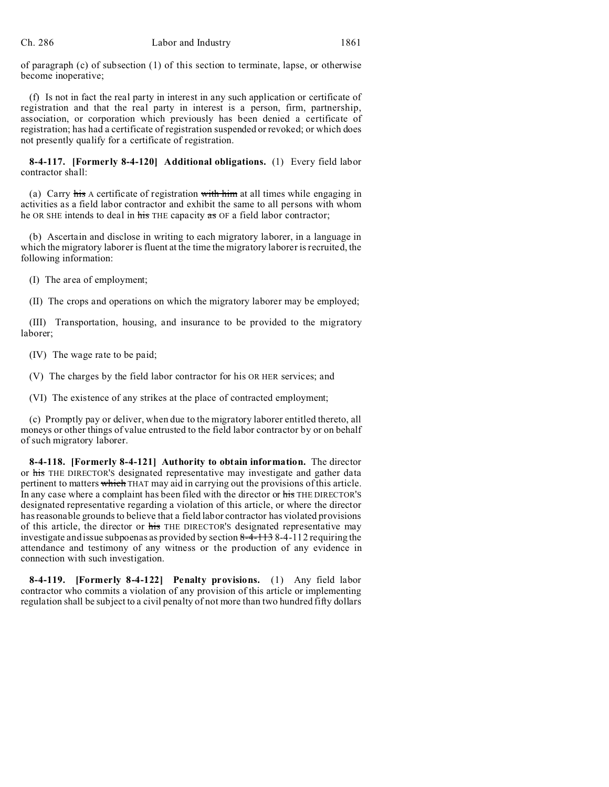of paragraph (c) of subsection (1) of this section to terminate, lapse, or otherwise become inoperative;

(f) Is not in fact the real party in interest in any such application or certificate of registration and that the real party in interest is a person, firm, partnership, association, or corporation which previously has been denied a certificate of registration; has had a certificate of registration suspended or revoked; or which does not presently qualify for a certificate of registration.

**8-4-117. [Formerly 8-4-120] Additional obligations.** (1) Every field labor contractor shall:

(a) Carry his A certificate of registration with him at all times while engaging in activities as a field labor contractor and exhibit the same to all persons with whom he OR SHE intends to deal in his THE capacity as OF a field labor contractor;

(b) Ascertain and disclose in writing to each migratory laborer, in a language in which the migratory laborer is fluent at the time the migratory laborer is recruited, the following information:

(I) The area of employment;

(II) The crops and operations on which the migratory laborer may be employed;

(III) Transportation, housing, and insurance to be provided to the migratory laborer;

(IV) The wage rate to be paid;

(V) The charges by the field labor contractor for his OR HER services; and

(VI) The existence of any strikes at the place of contracted employment;

(c) Promptly pay or deliver, when due to the migratory laborer entitled thereto, all moneys or other things of value entrusted to the field labor contractor by or on behalf of such migratory laborer.

**8-4-118. [Formerly 8-4-121] Authority to obtain information.** The director or his THE DIRECTOR'S designated representative may investigate and gather data pertinent to matters which THAT may aid in carrying out the provisions of this article. In any case where a complaint has been filed with the director or his THE DIRECTOR'S designated representative regarding a violation of this article, or where the director has reasonable grounds to believe that a field labor contractor has violated provisions of this article, the director or his THE DIRECTOR's designated representative may investigate and issue subpoenas as provided by section 8-4-113 8-4-112 requiring the attendance and testimony of any witness or the production of any evidence in connection with such investigation.

**8-4-119. [Formerly 8-4-122] Penalty provisions.** (1) Any field labor contractor who commits a violation of any provision of this article or implementing regulation shall be subject to a civil penalty of not more than two hundred fifty dollars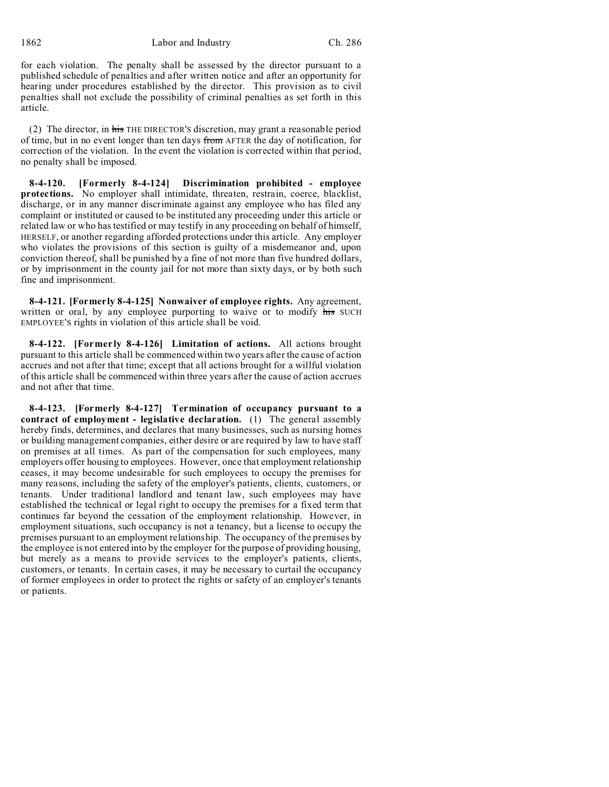for each violation. The penalty shall be assessed by the director pursuant to a published schedule of penalties and after written notice and after an opportunity for hearing under procedures established by the director. This provision as to civil penalties shall not exclude the possibility of criminal penalties as set forth in this article.

(2) The director, in his THE DIRECTOR'S discretion, may grant a reasonable period of time, but in no event longer than ten days from AFTER the day of notification, for correction of the violation. In the event the violation is corrected within that period, no penalty shall be imposed.

**8-4-120. [Formerly 8-4-124] Discrimination prohibited - employee protections.** No employer shall intimidate, threaten, restrain, coerce, blacklist, discharge, or in any manner discriminate against any employee who has filed any complaint or instituted or caused to be instituted any proceeding under this article or related law or who has testified or may testify in any proceeding on behalf of himself, HERSELF, or another regarding afforded protections under this article. Any employer who violates the provisions of this section is guilty of a misdemeanor and, upon conviction thereof, shall be punished by a fine of not more than five hundred dollars, or by imprisonment in the county jail for not more than sixty days, or by both such fine and imprisonment.

**8-4-121. [Formerly 8-4-125] Nonwaiver of employee rights.** Any agreement, written or oral, by any employee purporting to waive or to modify his SUCH EMPLOYEE'S rights in violation of this article shall be void.

**8-4-122. [Formerly 8-4-126] Limitation of actions.** All actions brought pursuant to this article shall be commenced within two years after the cause of action accrues and not after that time; except that all actions brought for a willful violation of this article shall be commenced within three years after the cause of action accrues and not after that time.

**8-4-123. [Formerly 8-4-127] Termination of occupancy pursuant to a contract of employment - legislative declaration.** (1) The general assembly hereby finds, determines, and declares that many businesses, such as nursing homes or building management companies, either desire or are required by law to have staff on premises at all times. As part of the compensation for such employees, many employers offer housing to employees. However, once that employment relationship ceases, it may become undesirable for such employees to occupy the premises for many reasons, including the safety of the employer's patients, clients, customers, or tenants. Under traditional landlord and tenant law, such employees may have established the technical or legal right to occupy the premises for a fixed term that continues far beyond the cessation of the employment relationship. However, in employment situations, such occupancy is not a tenancy, but a license to occupy the premises pursuant to an employment relationship. The occupancy of the premises by the employee is not entered into by the employer for the purpose of providing housing, but merely as a means to provide services to the employer's patients, clients, customers, or tenants. In certain cases, it may be necessary to curtail the occupancy of former employees in order to protect the rights or safety of an employer's tenants or patients.